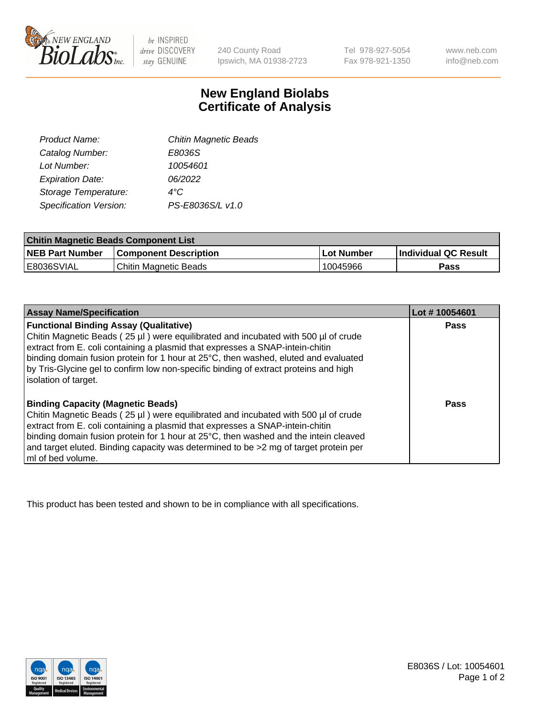

 $be$  INSPIRED drive DISCOVERY stay GENUINE

240 County Road Ipswich, MA 01938-2723 Tel 978-927-5054 Fax 978-921-1350 www.neb.com info@neb.com

## **New England Biolabs Certificate of Analysis**

| Product Name:           | <b>Chitin Magnetic Beads</b> |
|-------------------------|------------------------------|
| Catalog Number:         | E8036S                       |
| Lot Number:             | 10054601                     |
| <b>Expiration Date:</b> | 06/2022                      |
| Storage Temperature:    | 4°C                          |
| Specification Version:  | PS-E8036S/L v1.0             |
|                         |                              |

| <b>Chitin Magnetic Beads Component List</b> |                              |            |                      |  |
|---------------------------------------------|------------------------------|------------|----------------------|--|
| <b>NEB Part Number</b>                      | <b>Component Description</b> | Lot Number | Individual QC Result |  |
| I E8036SVIAL                                | Chitin Magnetic Beads        | 10045966   | Pass                 |  |

| <b>Assay Name/Specification</b>                                                                                                                                                                                      | Lot #10054601 |
|----------------------------------------------------------------------------------------------------------------------------------------------------------------------------------------------------------------------|---------------|
| <b>Functional Binding Assay (Qualitative)</b><br>Chitin Magnetic Beads (25 µl) were equilibrated and incubated with 500 µl of crude<br>extract from E. coli containing a plasmid that expresses a SNAP-intein-chitin | <b>Pass</b>   |
| binding domain fusion protein for 1 hour at 25°C, then washed, eluted and evaluated<br>by Tris-Glycine gel to confirm low non-specific binding of extract proteins and high<br>solation of target.                   |               |
| <b>Binding Capacity (Magnetic Beads)</b>                                                                                                                                                                             | Pass          |
| Chitin Magnetic Beads (25 µl) were equilibrated and incubated with 500 µl of crude                                                                                                                                   |               |
| extract from E. coli containing a plasmid that expresses a SNAP-intein-chitin                                                                                                                                        |               |
| binding domain fusion protein for 1 hour at 25°C, then washed and the intein cleaved                                                                                                                                 |               |
| and target eluted. Binding capacity was determined to be >2 mg of target protein per                                                                                                                                 |               |
| ml of bed volume.                                                                                                                                                                                                    |               |

This product has been tested and shown to be in compliance with all specifications.